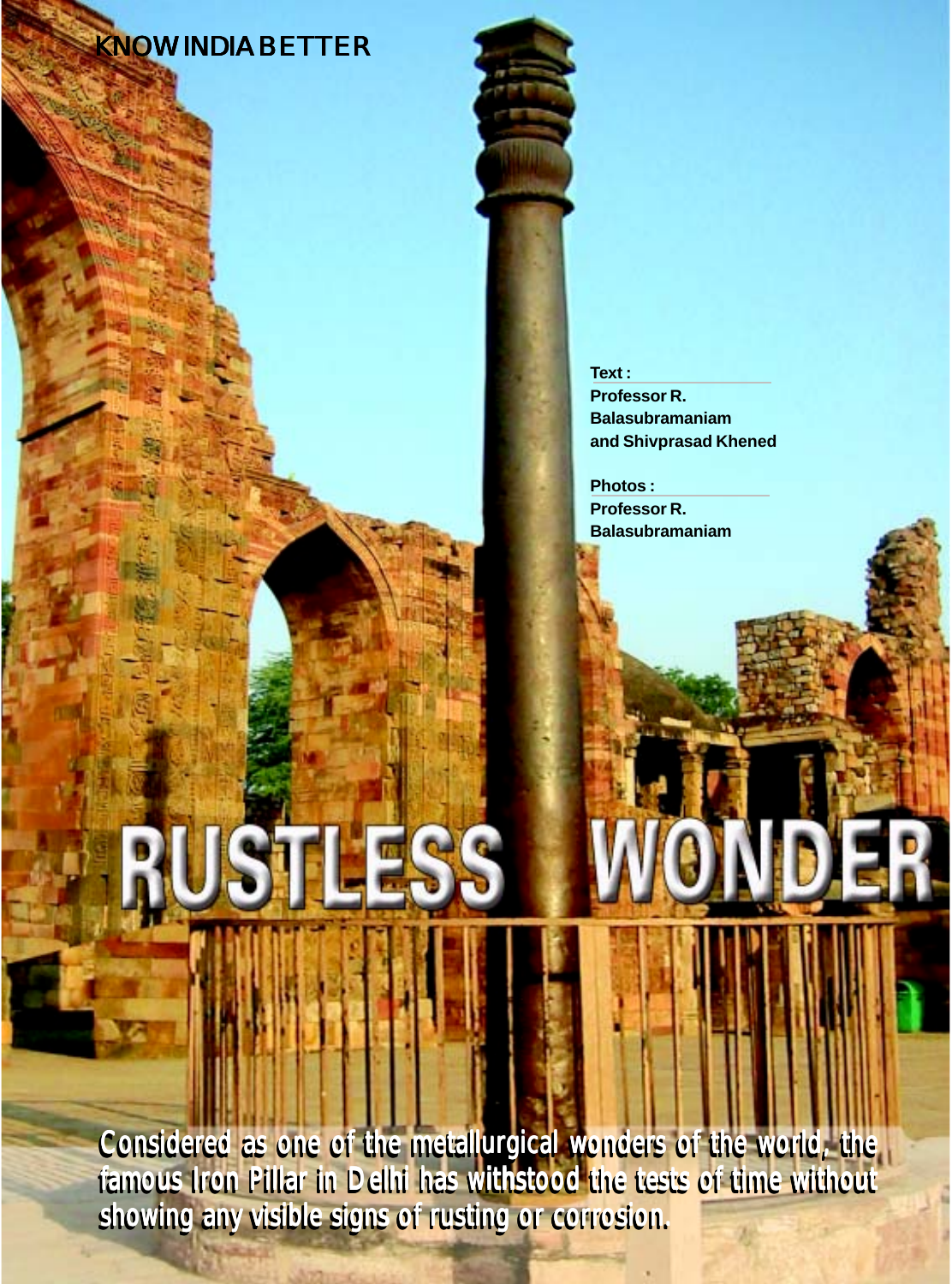# KNOW INDIA BETTER

**Text : Professor R. Balasubramaniam and Shivprasad Khened**

**Photos : Professor R. Balasubramaniam**

showing any visible signs of rusting or corrosion. Considered as one of the metallurgical wonders of the world, the famous Iron Pillar in Delhi has withstood the tests of time without

USTLESS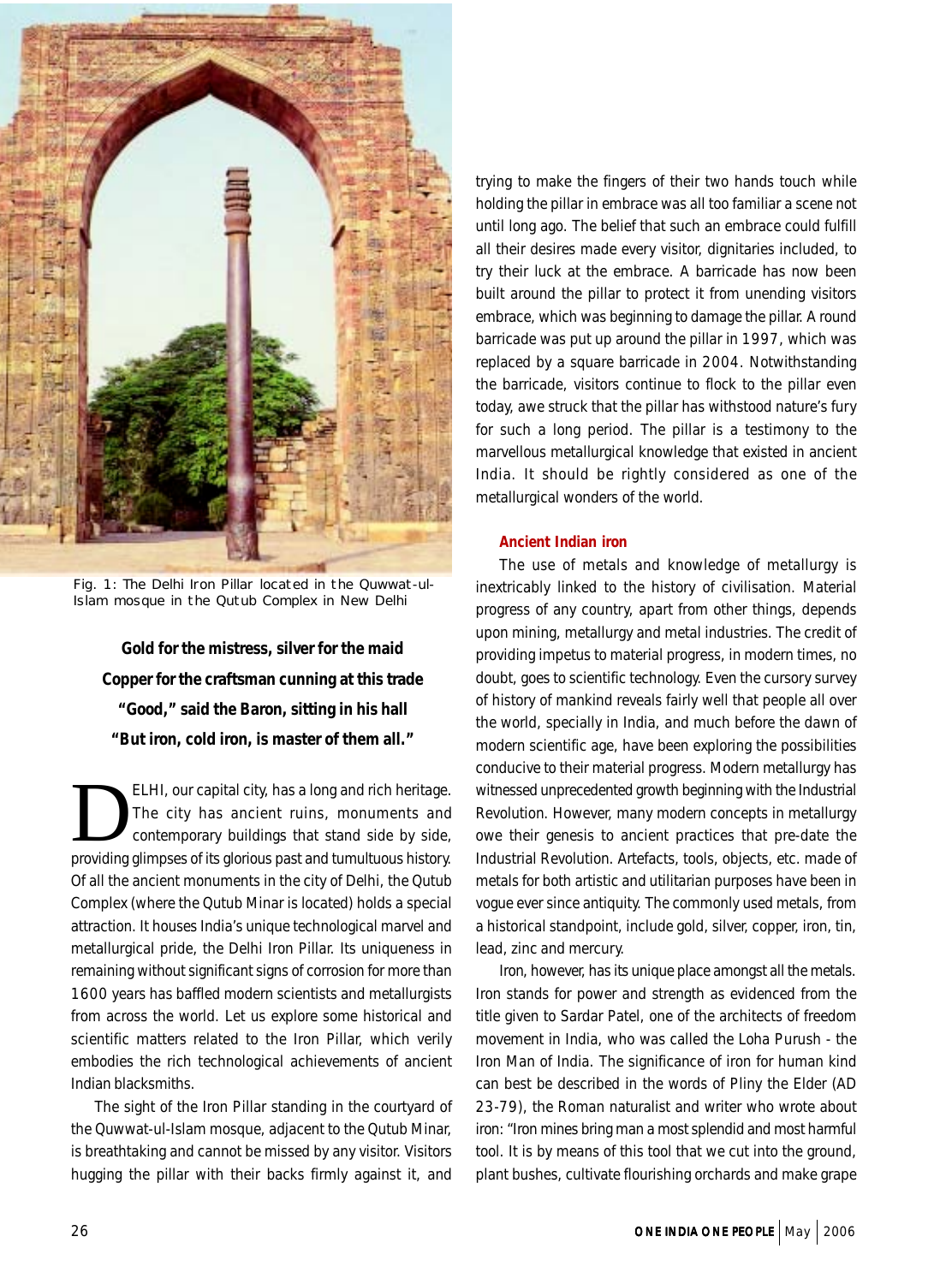

Fig. 1: The Delhi Iron Pillar located in the Quwwat-ul-Islam mosque in the Qutub Complex in New Delhi

*Gold for the mistress, silver for the maid Copper for the craftsman cunning at this trade "Good," said the Baron, sitting in his hall "But iron, cold iron, is master of them all."*

ELHI, our capital city, has a long and rich heritage.<br>The city has ancient ruins, monuments and<br>contemporary buildings that stand side by side,<br>providing alimness of its glorious past and tumultuous bistory. The city has ancient ruins, monuments and contemporary buildings that stand side by side, providing glimpses of its glorious past and tumultuous history. Of all the ancient monuments in the city of Delhi, the Qutub Complex (where the Qutub Minar is located) holds a special attraction. It houses India's unique technological marvel and metallurgical pride, the Delhi Iron Pillar. Its uniqueness in remaining without significant signs of corrosion for more than 1600 years has baffled modern scientists and metallurgists from across the world. Let us explore some historical and scientific matters related to the Iron Pillar, which verily embodies the rich technological achievements of ancient Indian blacksmiths.

The sight of the Iron Pillar standing in the courtyard of the Quwwat-ul-Islam mosque, adjacent to the Qutub Minar, is breathtaking and cannot be missed by any visitor. Visitors hugging the pillar with their backs firmly against it, and trying to make the fingers of their two hands touch while holding the pillar in embrace was all too familiar a scene not until long ago. The belief that such an embrace could fulfill all their desires made every visitor, dignitaries included, to try their luck at the embrace. A barricade has now been built around the pillar to protect it from unending visitors embrace, which was beginning to damage the pillar. A round barricade was put up around the pillar in 1997, which was replaced by a square barricade in 2004. Notwithstanding the barricade, visitors continue to flock to the pillar even today, awe struck that the pillar has withstood nature's fury for such a long period. The pillar is a testimony to the marvellous metallurgical knowledge that existed in ancient India. It should be rightly considered as one of the metallurgical wonders of the world.

## **Ancient Indian iron**

The use of metals and knowledge of metallurgy is inextricably linked to the history of civilisation. Material progress of any country, apart from other things, depends upon mining, metallurgy and metal industries. The credit of providing impetus to material progress, in modern times, no doubt, goes to scientific technology. Even the cursory survey of history of mankind reveals fairly well that people all over the world, specially in India, and much before the dawn of modern scientific age, have been exploring the possibilities conducive to their material progress. Modern metallurgy has witnessed unprecedented growth beginning with the Industrial Revolution. However, many modern concepts in metallurgy owe their genesis to ancient practices that pre-date the Industrial Revolution. Artefacts, tools, objects, etc. made of metals for both artistic and utilitarian purposes have been in vogue ever since antiquity. The commonly used metals, from a historical standpoint, include gold, silver, copper, iron, tin, lead, zinc and mercury.

Iron, however, has its unique place amongst all the metals. Iron stands for power and strength as evidenced from the title given to Sardar Patel, one of the architects of freedom movement in India, who was called the *Loha Purush* - the Iron Man of India. The significance of iron for human kind can best be described in the words of Pliny the Elder (AD 23-79), the Roman naturalist and writer who wrote about iron: "Iron mines bring man a most splendid and most harmful tool. It is by means of this tool that we cut into the ground, plant bushes, cultivate flourishing orchards and make grape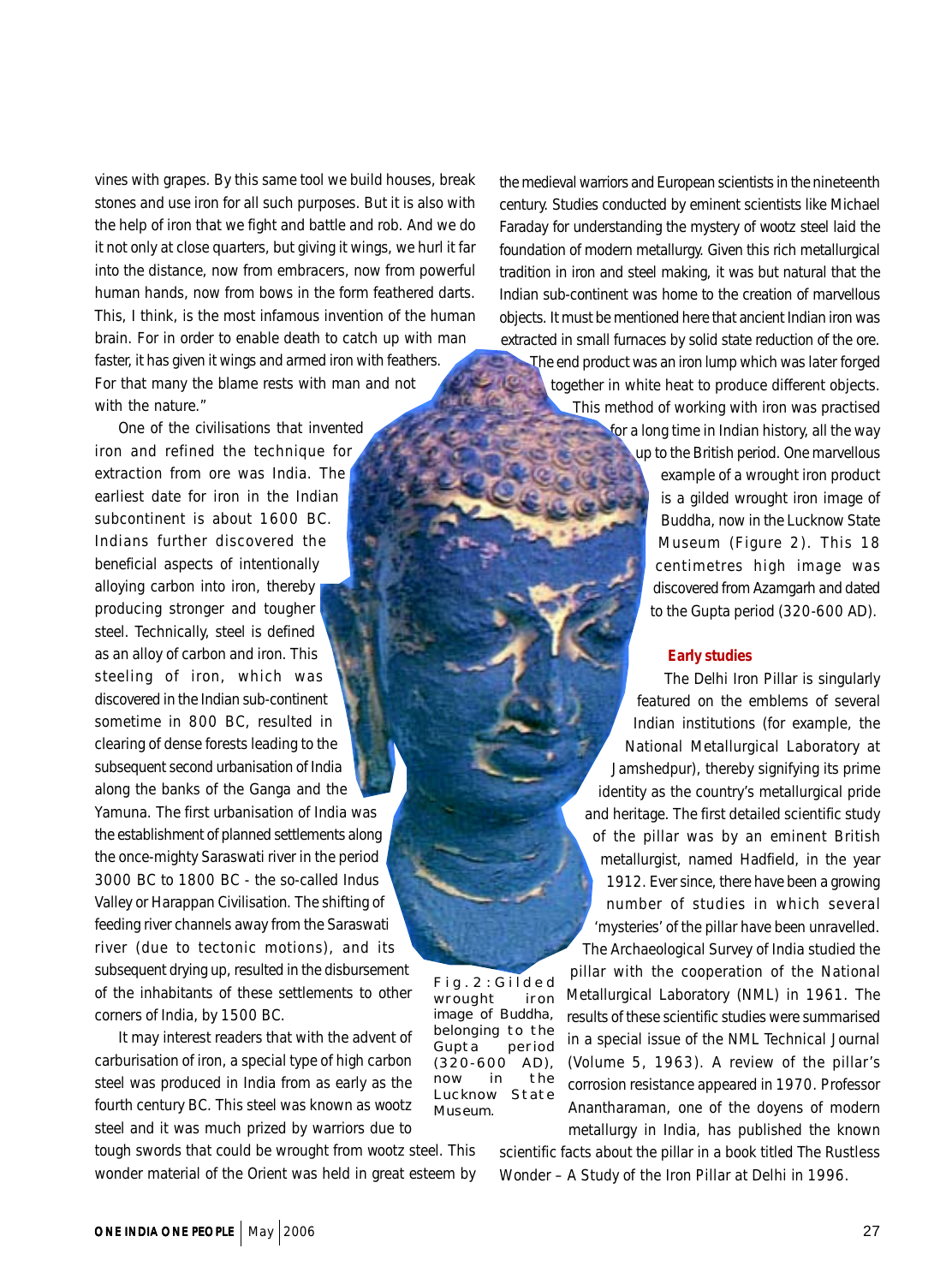vines with grapes. By this same tool we build houses, break stones and use iron for all such purposes. But it is also with the help of iron that we fight and battle and rob. And we do it not only at close quarters, but giving it wings, we hurl it far into the distance, now from embracers, now from powerful human hands, now from bows in the form feathered darts. This, I think, is the most infamous invention of the human brain. For in order to enable death to catch up with man faster, it has given it wings and armed iron with feathers. For that many the blame rests with man and not with the nature."

One of the civilisations that invented iron and refined the technique for extraction from ore was India. The earliest date for iron in the Indian subcontinent is about 1600 BC. Indians further discovered the beneficial aspects of intentionally alloying carbon into iron, thereby producing stronger and tougher steel. Technically, steel is defined as an alloy of carbon and iron. This steeling of iron, which was discovered in the Indian sub-continent sometime in 800 BC, resulted in clearing of dense forests leading to the subsequent second urbanisation of India along the banks of the Ganga and the

Yamuna. The first urbanisation of India was the establishment of planned settlements along the once-mighty Saraswati river in the period 3000 BC to 1800 BC - the so-called Indus Valley or Harappan Civilisation. The shifting of feeding river channels away from the Saraswati river (due to tectonic motions), and its subsequent drying up, resulted in the disbursement of the inhabitants of these settlements to other corners of India, by 1500 BC.

It may interest readers that with the advent of carburisation of iron, a special type of high carbon steel was produced in India from as early as the fourth century BC. This steel was known as *wootz* steel and it was much prized by warriors due to

tough swords that could be wrought from *wootz* steel. This wonder material of the Orient was held in great esteem by the medieval warriors and European scientists in the nineteenth century. Studies conducted by eminent scientists like Michael Faraday for understanding the mystery of *wootz* steel laid the foundation of modern metallurgy. Given this rich metallurgical tradition in iron and steel making, it was but natural that the Indian sub-continent was home to the creation of marvellous objects. It must be mentioned here that ancient Indian iron was extracted in small furnaces by solid state reduction of the ore.

The end product was an iron lump which was later forged together in white heat to produce different objects. This method of working with iron was practised for a long time in Indian history, all the way

up to the British period. One marvellous example of a wrought iron product is a gilded wrought iron image of Buddha, now in the Lucknow State Museum (Figure 2). This 18 centimetres high image was discovered from Azamgarh and dated to the Gupta period (320-600 AD).

## **Early studies**

The Delhi Iron Pillar is singularly featured on the emblems of several Indian institutions (for example, the National Metallurgical Laboratory at Jamshedpur), thereby signifying its prime identity as the country's metallurgical pride and heritage. The first detailed scientific study of the pillar was by an eminent British metallurgist, named Hadfield, in the year 1912. Ever since, there have been a growing number of studies in which several 'mysteries' of the pillar have been unravelled. The Archaeological Survey of India studied the

pillar with the cooperation of the National Metallurgical Laboratory (NML) in 1961. The results of these scientific studies were summarised in a special issue of the *NML Technical Journal* (Volume 5, 1963). A review of the pillar's corrosion resistance appeared in 1970. Professor Anantharaman, one of the doyens of modern metallurgy in India, has published the known

scientific facts about the pillar in a book titled *The Rustless Wonder – A Study of the Iron Pillar at Delhi* in 1996.

Fig.2:Gilded wrought iron image of Buddha, belonging to the Gupta period (320-600 AD), now in the Lucknow State Museum.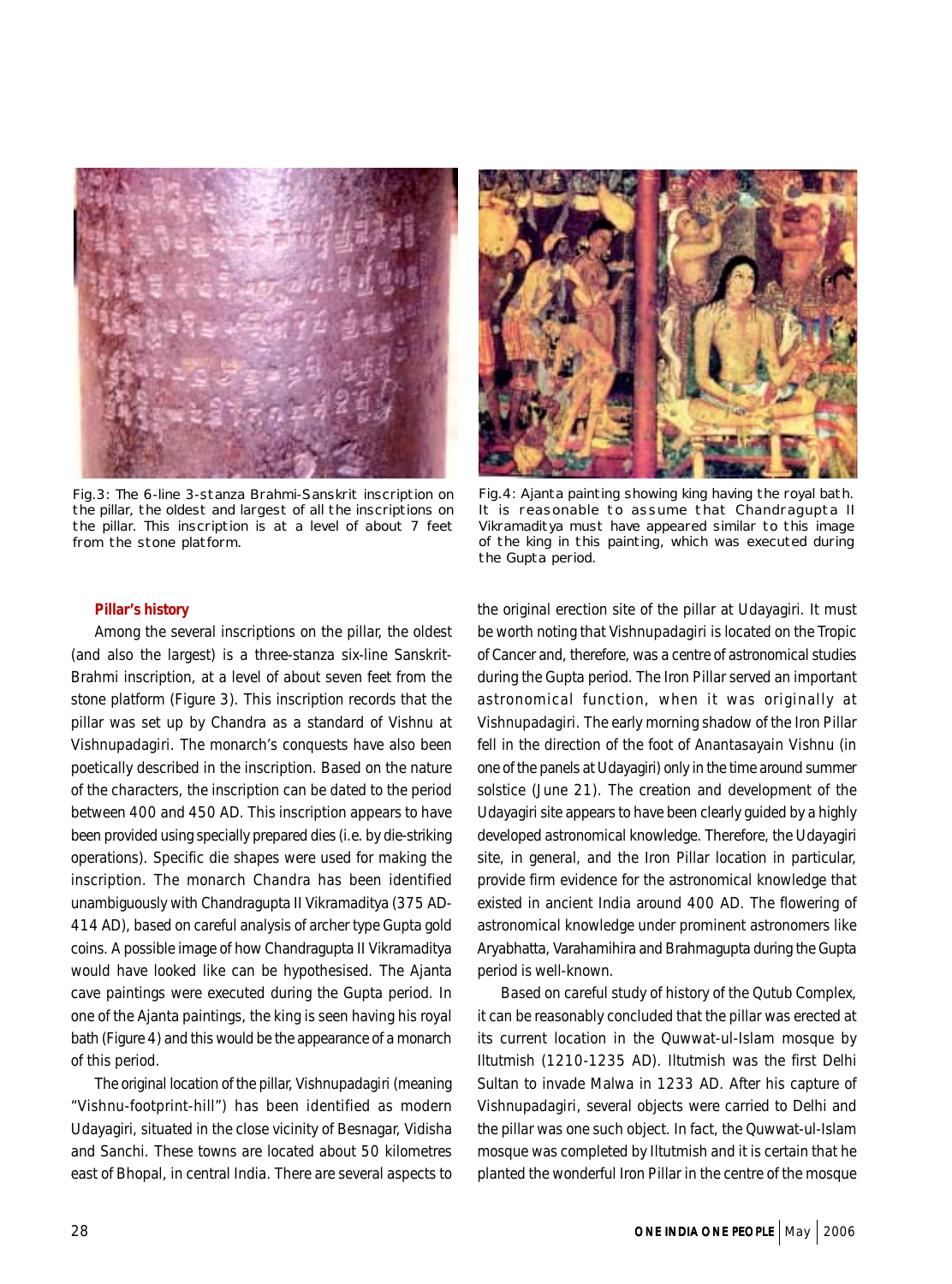

Fig.3: The 6-line 3-stanza Brahmi-Sanskrit inscription on the pillar, the oldest and largest of all the inscriptions on the pillar. This inscription is at a level of about 7 feet from the stone platform.



Fig.4: Ajanta painting showing king having the royal bath. It is reasonable to assume that Chandragupta II Vikramaditya must have appeared similar to this image of the king in this painting, which was executed during the Gupta period.

## **Pillar's history**

Among the several inscriptions on the pillar, the oldest (and also the largest) is a three-stanza six-line Sanskrit-Brahmi inscription, at a level of about seven feet from the stone platform (Figure 3). This inscription records that the pillar was set up by *Chandra* as a standard of Vishnu at *Vishnupadagiri*. The monarch's conquests have also been poetically described in the inscription. Based on the nature of the characters, the inscription can be dated to the period between 400 and 450 AD. This inscription appears to have been provided using specially prepared dies (i.e. by die-striking operations). Specific die shapes were used for making the inscription. The monarch *Chandra* has been identified unambiguously with Chandragupta II Vikramaditya (375 AD-414 AD), based on careful analysis of archer type Gupta gold coins. A possible image of how Chandragupta II Vikramaditya would have looked like can be hypothesised. The Ajanta cave paintings were executed during the Gupta period. In one of the Ajanta paintings, the king is seen having his royal bath (Figure 4) and this would be the appearance of a monarch of this period.

The original location of the pillar, *Vishnupadagiri* (meaning "Vishnu-footprint-hill") has been identified as modern Udayagiri, situated in the close vicinity of Besnagar, Vidisha and Sanchi. These towns are located about 50 kilometres east of Bhopal, in central India. There are several aspects to the original erection site of the pillar at Udayagiri. It must be worth noting that *Vishnupadagiri* is located on the Tropic of Cancer and, therefore, was a centre of astronomical studies during the Gupta period. The Iron Pillar served an important astronomical function, when it was originally at *Vishnupadagiri.* The early morning shadow of the Iron Pillar fell in the direction of the foot of *Anantasayain Vishnu* (in one of the panels at Udayagiri) only in the time around summer solstice (June 21). The creation and development of the Udayagiri site appears to have been clearly guided by a highly developed astronomical knowledge. Therefore, the Udayagiri site, in general, and the Iron Pillar location in particular, provide firm evidence for the astronomical knowledge that existed in ancient India around 400 AD. The flowering of astronomical knowledge under prominent astronomers like Aryabhatta, Varahamihira and Brahmagupta during the Gupta period is well-known.

Based on careful study of history of the Qutub Complex, it can be reasonably concluded that the pillar was erected at its current location in the Quwwat-ul-Islam mosque by Iltutmish (1210-1235 AD). Iltutmish was the first Delhi Sultan to invade Malwa in 1233 AD. After his capture of *Vishnupadagiri,* several objects were carried to Delhi and the pillar was one such object. In fact, the Quwwat-ul-Islam mosque was completed by Iltutmish and it is certain that he planted the wonderful Iron Pillar in the centre of the mosque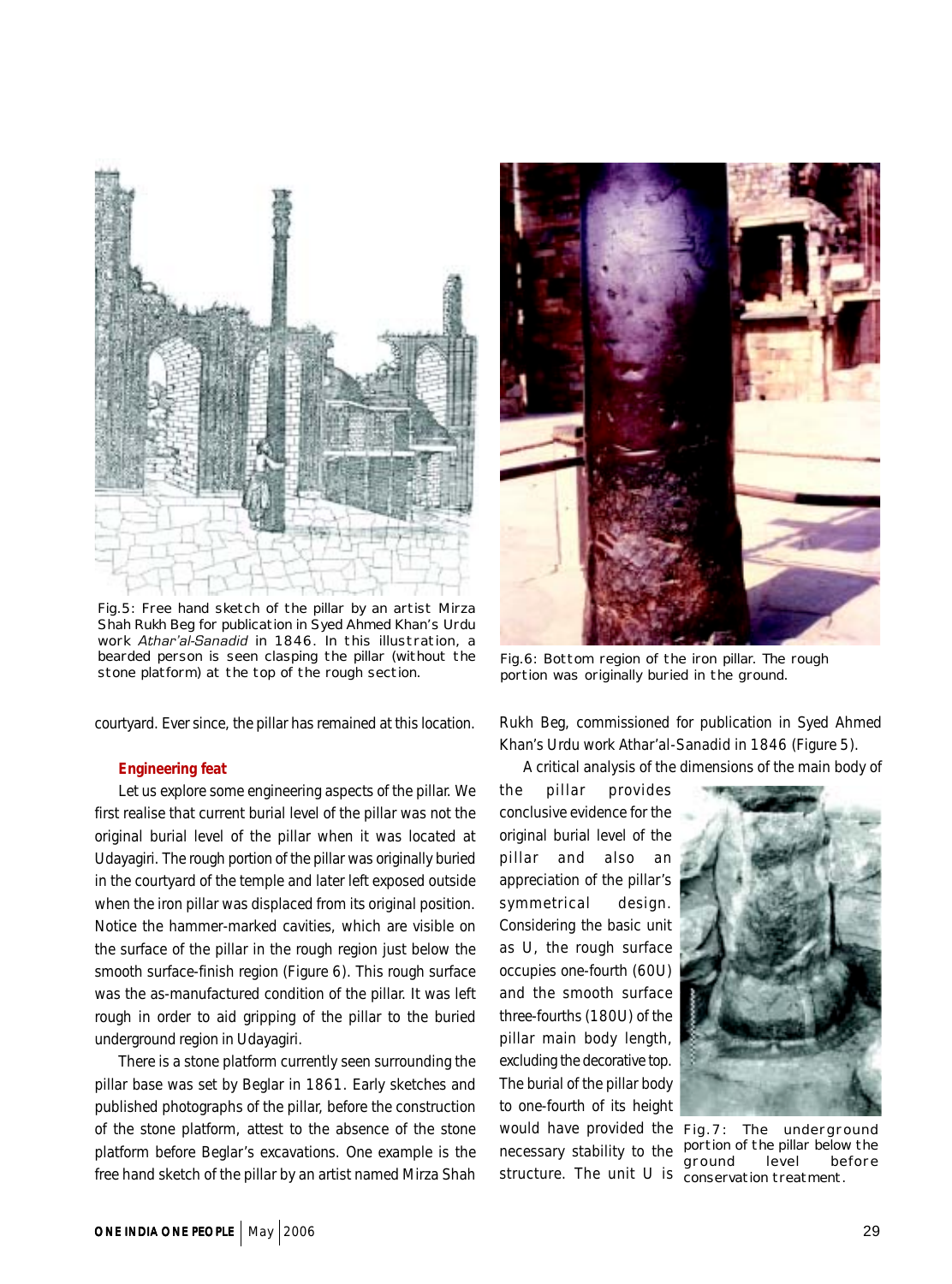

Fig.5: Free hand sketch of the pillar by an artist Mirza Shah Rukh Beg for publication in Syed Ahmed Khan's Urdu work *Athar'al-Sanadid* in 1846. In this illustration, a bearded person is seen clasping the pillar (without the stone platform) at the top of the rough section.

courtyard. Ever since, the pillar has remained at this location.

## **Engineering feat**

Let us explore some engineering aspects of the pillar. We first realise that current burial level of the pillar was not the original burial level of the pillar when it was located at Udayagiri. The rough portion of the pillar was originally buried in the courtyard of the temple and later left exposed outside when the iron pillar was displaced from its original position. Notice the hammer-marked cavities, which are visible on the surface of the pillar in the rough region just below the smooth surface-finish region (Figure 6). This rough surface was the as-manufactured condition of the pillar. It was left rough in order to aid gripping of the pillar to the buried underground region in Udayagiri.

There is a stone platform currently seen surrounding the pillar base was set by Beglar in 1861. Early sketches and published photographs of the pillar, before the construction of the stone platform, attest to the absence of the stone platform before Beglar's excavations. One example is the free hand sketch of the pillar by an artist named Mirza Shah



Fig.6: Bottom region of the iron pillar. The rough portion was originally buried in the ground.

Rukh Beg, commissioned for publication in Syed Ahmed Khan's Urdu work *Athar'al-Sanadid* in 1846 (Figure 5).

A critical analysis of the dimensions of the main body of

the pillar provides conclusive evidence for the original burial level of the pillar and also an appreciation of the pillar's symmetrical design. Considering the basic unit as U, the rough surface occupies one-fourth (60U) and the smooth surface three-fourths (180U) of the pillar main body length, excluding the decorative top. The burial of the pillar body to one-fourth of its height would have provided the Fig.7: The underground



necessary stability to the portion of the pillar below the structure. The unit U is conservation treatment. ground level before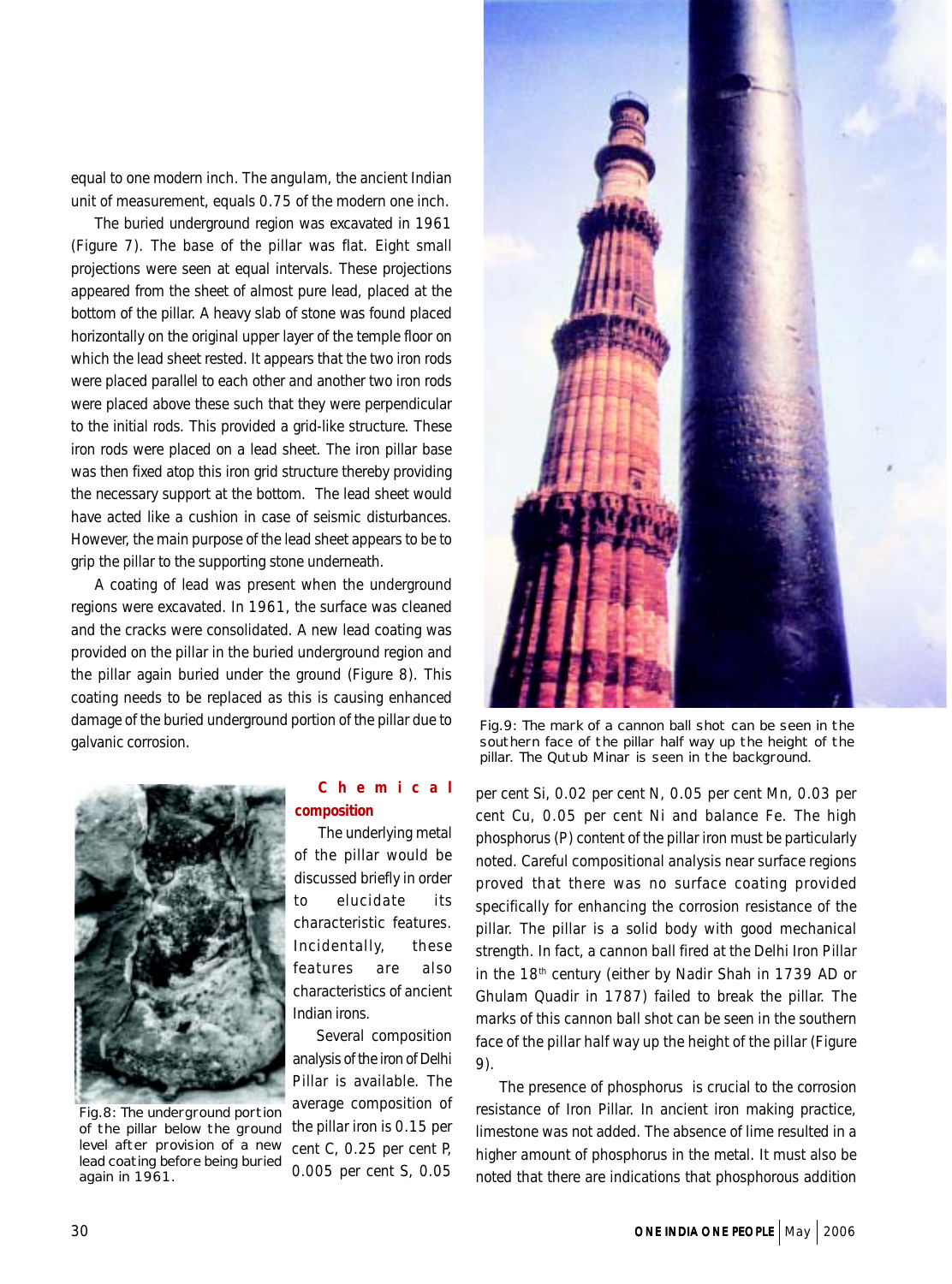equal to one modern inch. The *angulam*, the ancient Indian unit of measurement, equals 0.75 of the modern one inch.

The buried underground region was excavated in 1961 (Figure 7). The base of the pillar was flat. Eight small projections were seen at equal intervals. These projections appeared from the sheet of almost pure lead, placed at the bottom of the pillar. A heavy slab of stone was found placed horizontally on the original upper layer of the temple floor on which the lead sheet rested. It appears that the two iron rods were placed parallel to each other and another two iron rods were placed above these such that they were perpendicular to the initial rods. This provided a grid-like structure. These iron rods were placed on a lead sheet. The iron pillar base was then fixed atop this iron grid structure thereby providing the necessary support at the bottom. The lead sheet would have acted like a cushion in case of seismic disturbances. However, the main purpose of the lead sheet appears to be to grip the pillar to the supporting stone underneath.

A coating of lead was present when the underground regions were excavated. In 1961, the surface was cleaned and the cracks were consolidated. A new lead coating was provided on the pillar in the buried underground region and the pillar again buried under the ground (Figure 8). This coating needs to be replaced as this is causing enhanced damage of the buried underground portion of the pillar due to galvanic corrosion.



Fig.8: The underground portion of the pillar below the ground level after provision of a new lead coating before being buried again in 1961.

## **Chemical composition**

The underlying metal of the pillar would be discussed briefly in order to elucidate its characteristic features. Incidentally, these features are also characteristics of ancient Indian irons.

Several composition analysis of the iron of Delhi Pillar is available. The average composition of the pillar iron is 0.15 per cent C, 0.25 per cent P, 0.005 per cent S, 0.05



Fig.9: The mark of a cannon ball shot can be seen in the southern face of the pillar half way up the height of the pillar. The Qutub Minar is seen in the background.

per cent Si, 0.02 per cent N, 0.05 per cent Mn, 0.03 per cent Cu, 0.05 per cent Ni and balance Fe. The high phosphorus (P) content of the pillar iron must be particularly noted. Careful compositional analysis near surface regions proved that there was no surface coating provided specifically for enhancing the corrosion resistance of the pillar. The pillar is a solid body with good mechanical strength. In fact, a cannon ball fired at the Delhi Iron Pillar in the 18<sup>th</sup> century (either by Nadir Shah in 1739 AD or Ghulam Quadir in 1787) failed to break the pillar. The marks of this cannon ball shot can be seen in the southern face of the pillar half way up the height of the pillar (Figure 9).

The presence of phosphorus is crucial to the corrosion resistance of Iron Pillar. In ancient iron making practice, limestone was not added. The absence of lime resulted in a higher amount of phosphorus in the metal. It must also be noted that there are indications that phosphorous addition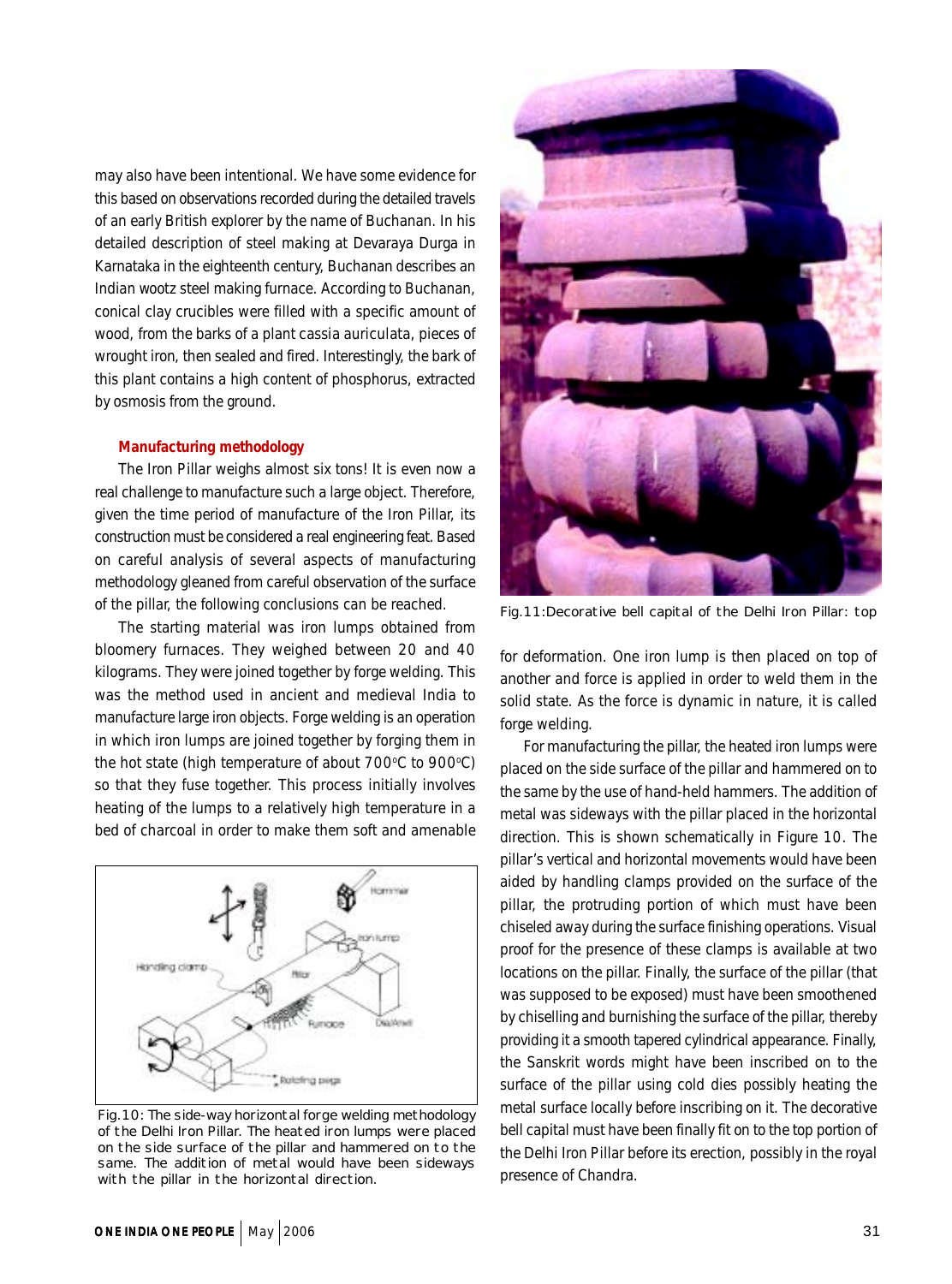may also have been intentional. We have some evidence for this based on observations recorded during the detailed travels of an early British explorer by the name of Buchanan. In his detailed description of steel making at Devaraya Durga in Karnataka in the eighteenth century, Buchanan describes an Indian *wootz* steel making furnace. According to Buchanan, conical clay crucibles were filled with a specific amount of wood, from the barks of a plant *cassia auriculata*, pieces of wrought iron, then sealed and fired. Interestingly, the bark of this plant contains a high content of phosphorus, extracted by osmosis from the ground.

## **Manufacturing methodology**

The Iron Pillar weighs almost six tons! It is even now a real challenge to manufacture such a large object. Therefore, given the time period of manufacture of the Iron Pillar, its construction must be considered a real engineering feat. Based on careful analysis of several aspects of manufacturing methodology gleaned from careful observation of the surface of the pillar, the following conclusions can be reached.

The starting material was iron lumps obtained from bloomery furnaces. They weighed between 20 and 40 kilograms. They were joined together by forge welding. This was the method used in ancient and medieval India to manufacture large iron objects. Forge welding is an operation in which iron lumps are joined together by forging them in the hot state (high temperature of about 700°C to 900°C) so that they fuse together. This process initially involves heating of the lumps to a relatively high temperature in a bed of charcoal in order to make them soft and amenable



Fig.10: The side-way horizontal forge welding methodology of the Delhi Iron Pillar. The heated iron lumps were placed on the side surface of the pillar and hammered on to the same. The addition of metal would have been sideways with the pillar in the horizontal direction.



Fig.11:Decorative bell capital of the Delhi Iron Pillar: top

for deformation. One iron lump is then placed on top of another and force is applied in order to weld them in the solid state. As the force is dynamic in nature, it is called forge welding.

For manufacturing the pillar, the heated iron lumps were placed on the side surface of the pillar and hammered on to the same by the use of hand-held hammers. The addition of metal was sideways with the pillar placed in the horizontal direction. This is shown schematically in Figure 10. The pillar's vertical and horizontal movements would have been aided by handling clamps provided on the surface of the pillar, the protruding portion of which must have been chiseled away during the surface finishing operations. Visual proof for the presence of these clamps is available at two locations on the pillar. Finally, the surface of the pillar (that was supposed to be exposed) must have been smoothened by chiselling and burnishing the surface of the pillar, thereby providing it a smooth tapered cylindrical appearance. Finally, the Sanskrit words might have been inscribed on to the surface of the pillar using cold dies possibly heating the metal surface locally before inscribing on it. The decorative bell capital must have been finally fit on to the top portion of the Delhi Iron Pillar before its erection, possibly in the royal presence of *Chandra*.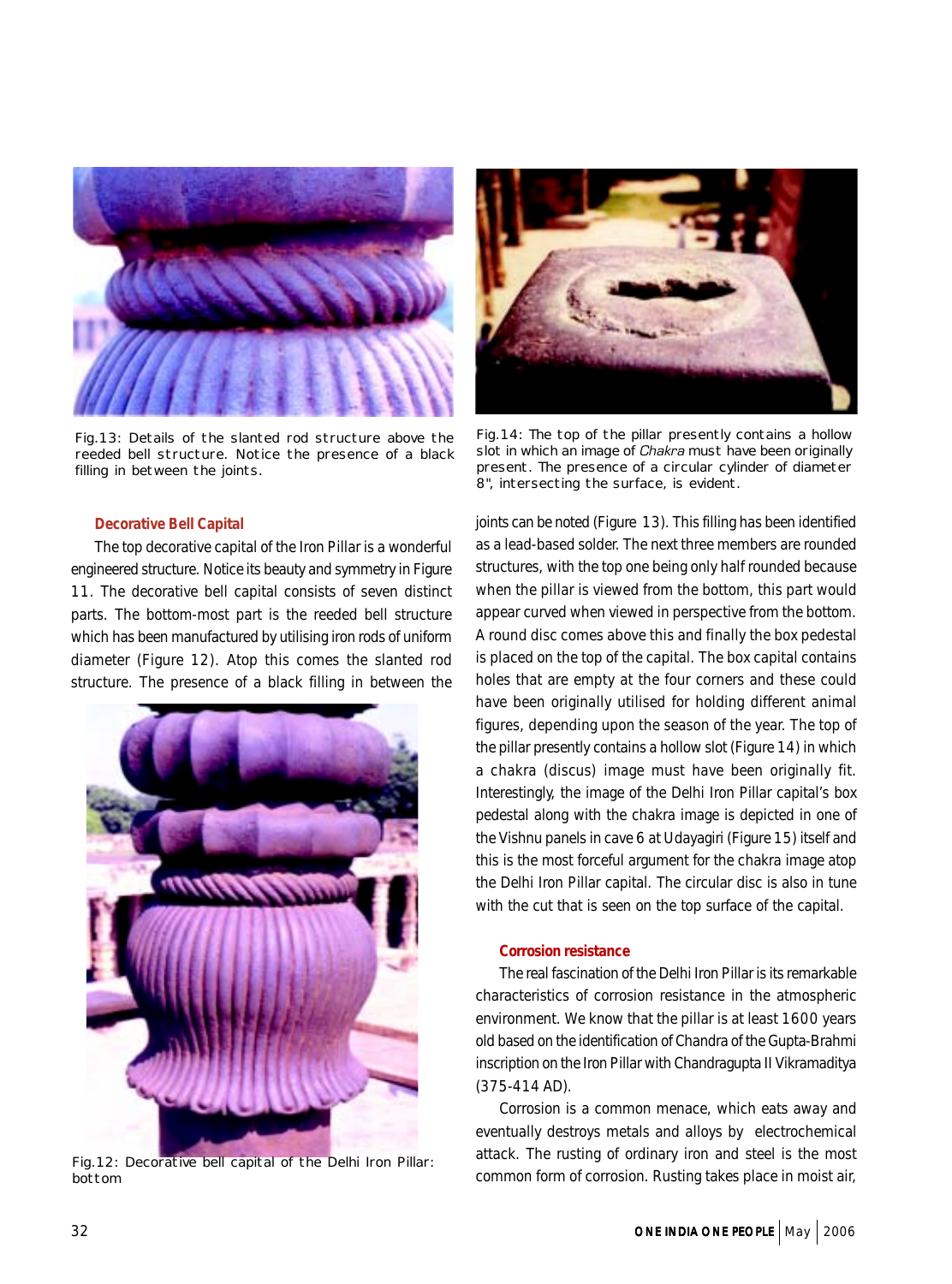

Fig.13: Details of the slanted rod structure above the reeded bell structure. Notice the presence of a black filling in between the joints.

#### **Decorative Bell Capital**

The top decorative capital of the Iron Pillar is a wonderful engineered structure. Notice its beauty and symmetry in Figure 11. The decorative bell capital consists of seven distinct parts. The bottom-most part is the reeded bell structure which has been manufactured by utilising iron rods of uniform diameter (Figure 12). Atop this comes the slanted rod structure. The presence of a black filling in between the



Fig.12: Decorative bell capital of the Delhi Iron Pillar: bottom



Fig.14: The top of the pillar presently contains a hollow slot in which an image of *Chakra* must have been originally present. The presence of a circular cylinder of diameter 8", intersecting the surface, is evident.

joints can be noted (Figure 13). This filling has been identified as a lead-based solder. The next three members are rounded structures, with the top one being only half rounded because when the pillar is viewed from the bottom, this part would appear curved when viewed in perspective from the bottom. A round disc comes above this and finally the box pedestal is placed on the top of the capital. The box capital contains holes that are empty at the four corners and these could have been originally utilised for holding different animal figures, depending upon the season of the year. The top of the pillar presently contains a hollow slot (Figure 14) in which a *chakra* (discus) image must have been originally fit. Interestingly, the image of the Delhi Iron Pillar capital's box pedestal along with the *chakra* image is depicted in one of the Vishnu panels in cave 6 at Udayagiri (Figure 15) itself and this is the most forceful argument for the *chakra* image atop the Delhi Iron Pillar capital. The circular disc is also in tune with the cut that is seen on the top surface of the capital.

## **Corrosion resistance**

The real fascination of the Delhi Iron Pillar is its remarkable characteristics of corrosion resistance in the atmospheric environment. We know that the pillar is at least 1600 years old based on the identification of Chandra of the Gupta-Brahmi inscription on the Iron Pillar with Chandragupta II Vikramaditya (375-414 AD).

Corrosion is a common menace, which eats away and eventually destroys metals and alloys by electrochemical attack. The rusting of ordinary iron and steel is the most common form of corrosion. Rusting takes place in moist air,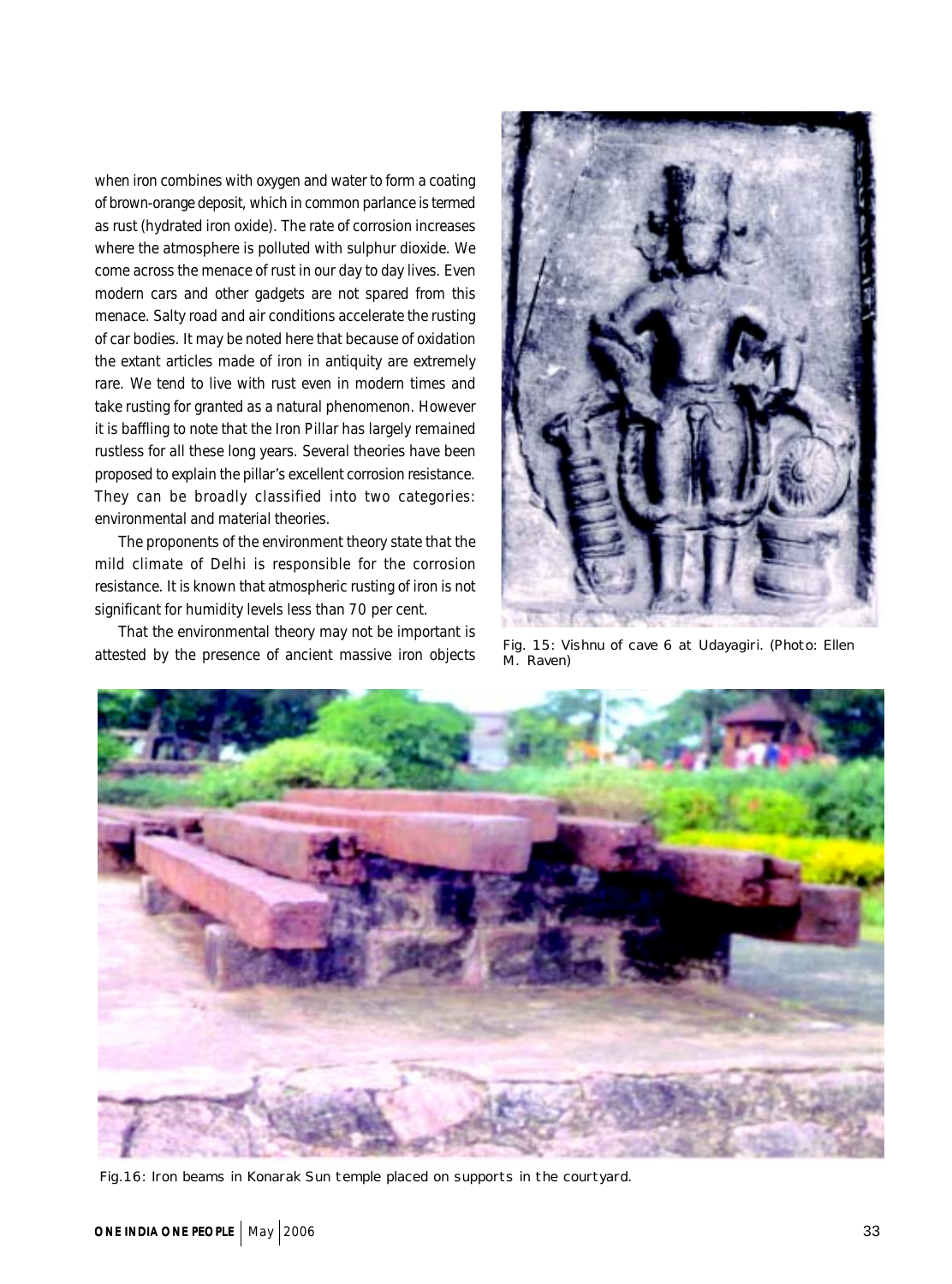when iron combines with oxygen and water to form a coating of brown-orange deposit, which in common parlance is termed as rust (hydrated iron oxide). The rate of corrosion increases where the atmosphere is polluted with sulphur dioxide. We come across the menace of rust in our day to day lives. Even modern cars and other gadgets are not spared from this menace. Salty road and air conditions accelerate the rusting of car bodies. It may be noted here that because of oxidation the extant articles made of iron in antiquity are extremely rare. We tend to live with rust even in modern times and take rusting for granted as a natural phenomenon. However it is baffling to note that the Iron Pillar has largely remained rustless for all these long years. Several theories have been proposed to explain the pillar's excellent corrosion resistance. They can be broadly classified into two categories: environmental and material theories.

The proponents of the environment theory state that the mild climate of Delhi is responsible for the corrosion resistance. It is known that atmospheric rusting of iron is not significant for humidity levels less than 70 per cent.

That the environmental theory may not be important is attested by the presence of ancient massive iron objects



Fig. 15: Vishnu of cave 6 at Udayagiri. (Photo: Ellen M. Raven)



Fig.16: Iron beams in Konarak Sun temple placed on supports in the courtyard.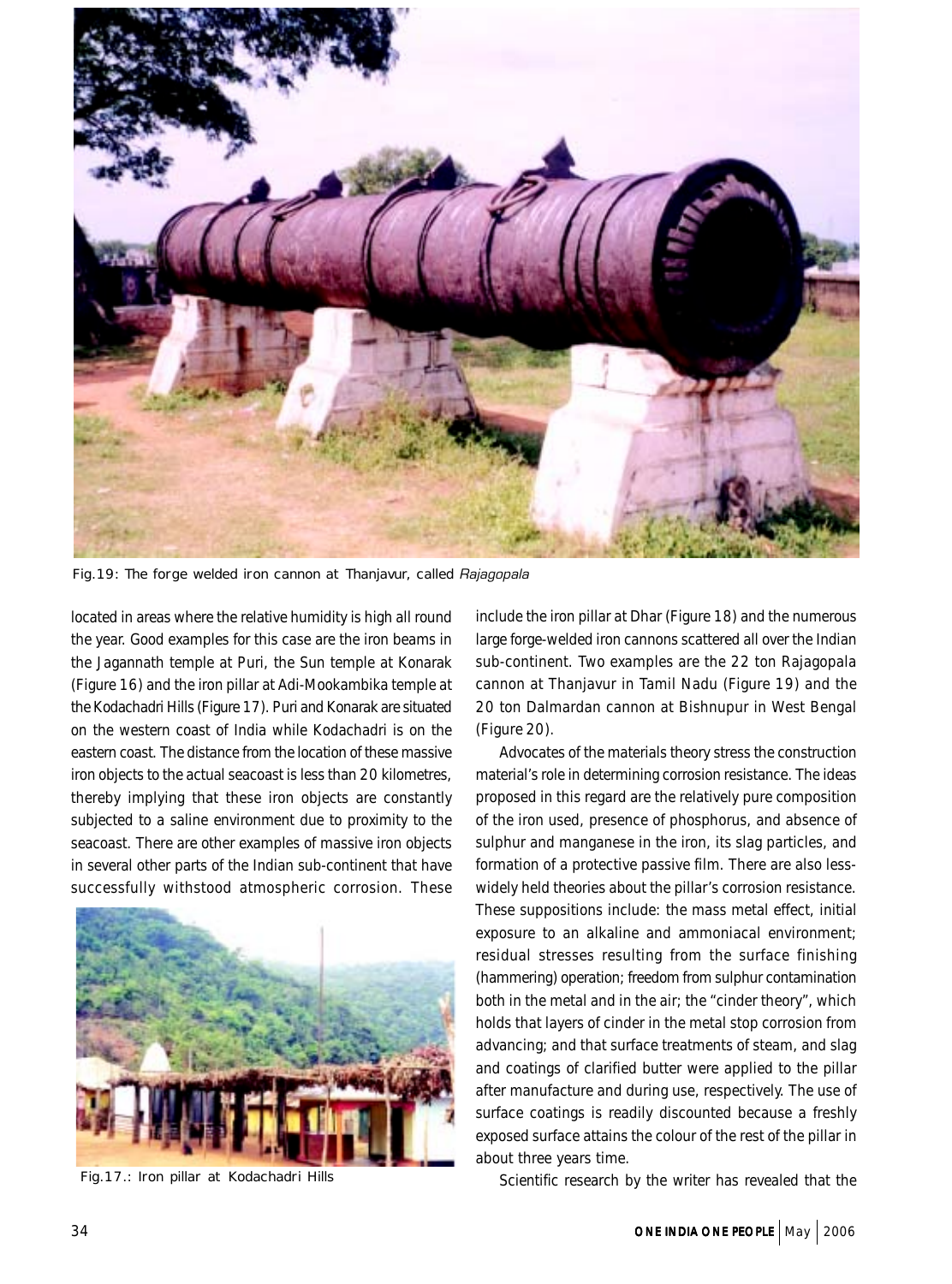

Fig.19: The forge welded iron cannon at Thanjavur, called *Rajagopala*

located in areas where the relative humidity is high all round the year. Good examples for this case are the iron beams in the Jagannath temple at Puri, the Sun temple at Konarak (Figure 16) and the iron pillar at Adi-Mookambika temple at the Kodachadri Hills (Figure 17). Puri and Konarak are situated on the western coast of India while Kodachadri is on the eastern coast. The distance from the location of these massive iron objects to the actual seacoast is less than 20 kilometres, thereby implying that these iron objects are constantly subjected to a saline environment due to proximity to the seacoast. There are other examples of massive iron objects in several other parts of the Indian sub-continent that have successfully withstood atmospheric corrosion. These



Fig.17.: Iron pillar at Kodachadri Hills

include the iron pillar at Dhar (Figure 18) and the numerous large forge-welded iron cannons scattered all over the Indian sub-continent. Two examples are the 22 ton Rajagopala cannon at Thanjavur in Tamil Nadu (Figure 19) and the 20 ton Dalmardan cannon at Bishnupur in West Bengal (Figure 20).

Advocates of the materials theory stress the construction material's role in determining corrosion resistance. The ideas proposed in this regard are the relatively pure composition of the iron used, presence of phosphorus, and absence of sulphur and manganese in the iron, its slag particles, and formation of a protective passive film. There are also lesswidely held theories about the pillar's corrosion resistance. These suppositions include: the mass metal effect, initial exposure to an alkaline and ammoniacal environment; residual stresses resulting from the surface finishing (hammering) operation; freedom from sulphur contamination both in the metal and in the air; the "cinder theory", which holds that layers of cinder in the metal stop corrosion from advancing; and that surface treatments of steam, and slag and coatings of clarified butter were applied to the pillar after manufacture and during use, respectively. The use of surface coatings is readily discounted because a freshly exposed surface attains the colour of the rest of the pillar in about three years time.

Scientific research by the writer has revealed that the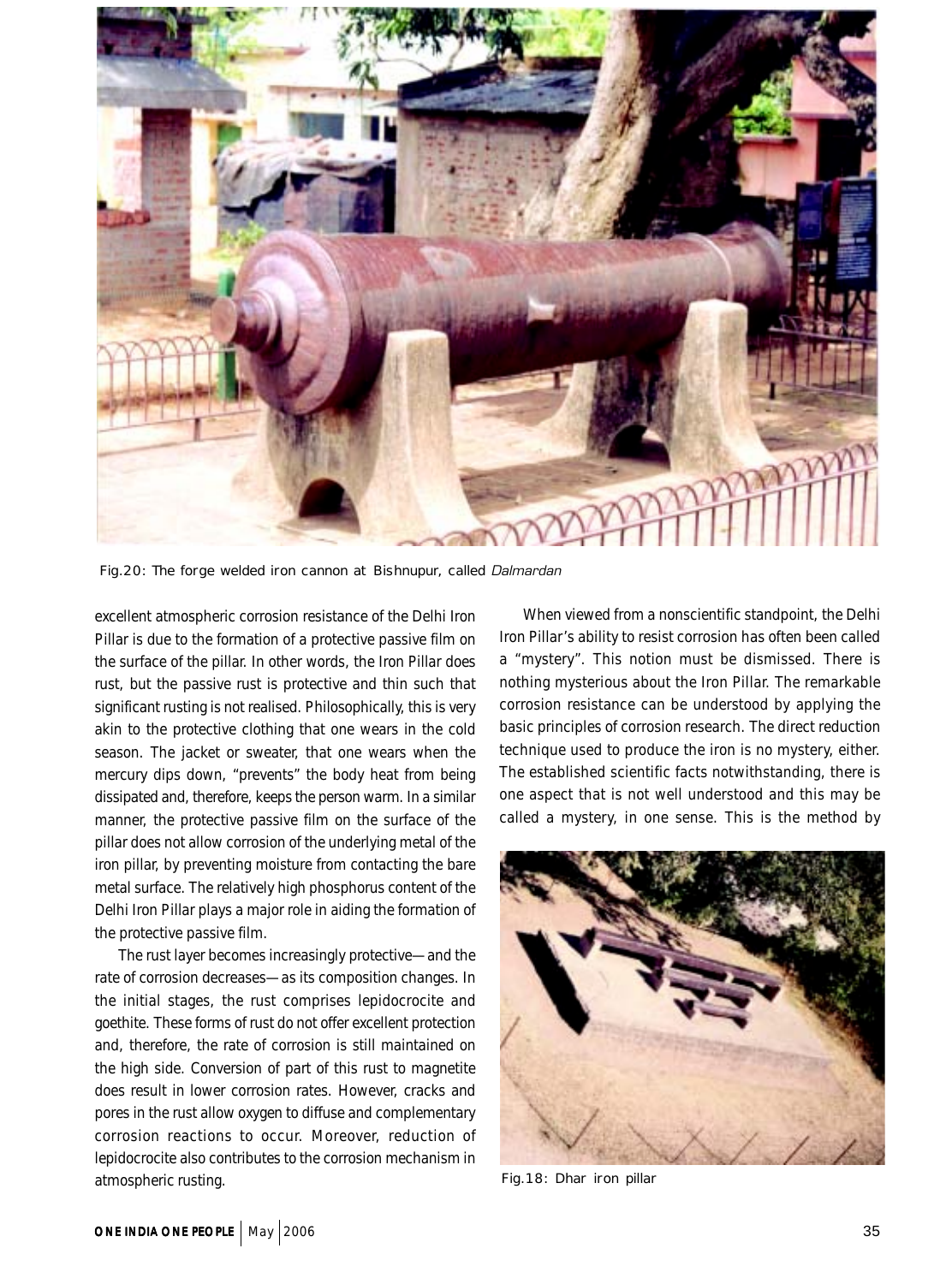

Fig.20: The forge welded iron cannon at Bishnupur, called *Dalmardan*

excellent atmospheric corrosion resistance of the Delhi Iron Pillar is due to the formation of a protective passive film on the surface of the pillar. In other words, the Iron Pillar does rust, but the passive rust is protective and thin such that significant rusting is not realised. Philosophically, this is very akin to the protective clothing that one wears in the cold season. The jacket or sweater, that one wears when the mercury dips down, "prevents" the body heat from being dissipated and, therefore, keeps the person warm. In a similar manner, the protective passive film on the surface of the pillar does not allow corrosion of the underlying metal of the iron pillar, by preventing moisture from contacting the bare metal surface. The relatively high phosphorus content of the Delhi Iron Pillar plays a major role in aiding the formation of the protective passive film.

The rust layer becomes increasingly protective—and the rate of corrosion decreases—as its composition changes. In the initial stages, the rust comprises lepidocrocite and goethite. These forms of rust do not offer excellent protection and, therefore, the rate of corrosion is still maintained on the high side. Conversion of part of this rust to magnetite does result in lower corrosion rates. However, cracks and pores in the rust allow oxygen to diffuse and complementary corrosion reactions to occur. Moreover, reduction of lepidocrocite also contributes to the corrosion mechanism in atmospheric rusting.

When viewed from a nonscientific standpoint, the Delhi Iron Pillar's ability to resist corrosion has often been called a "mystery". This notion must be dismissed. There is nothing mysterious about the Iron Pillar. The remarkable corrosion resistance can be understood by applying the basic principles of corrosion research. The direct reduction technique used to produce the iron is no mystery, either. The established scientific facts notwithstanding, there is one aspect that is not well understood and this may be called a mystery, in one sense. This is the method by



Fig.18: Dhar iron pillar